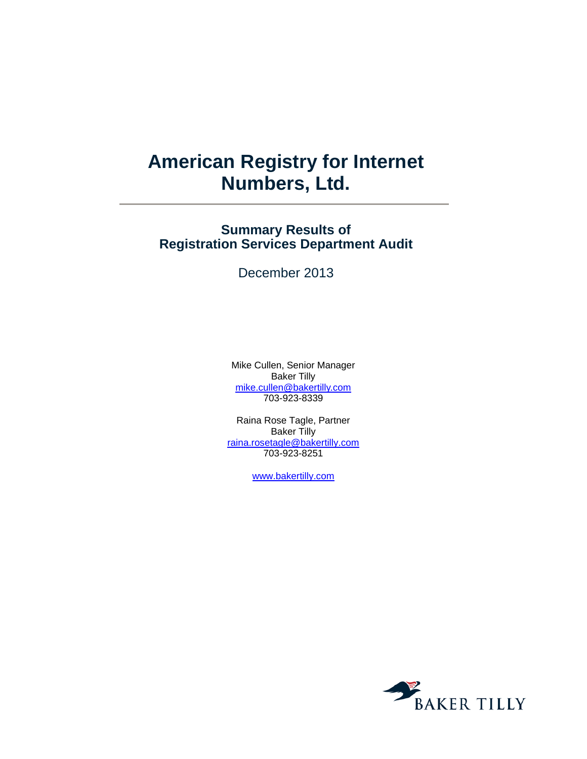# **American Registry for Internet Numbers, Ltd.**

## **Summary Results of Registration Services Department Audit**

December 2013

Mike Cullen, Senior Manager Baker Tilly [mike.cullen@bakertilly.com](mailto:mike.cullen@bakertilly.com) 703-923-8339

Raina Rose Tagle, Partner Baker Tilly [raina.rosetagle@bakertilly.com](mailto:raina.rosetagle@bakertilly.com) 703-923-8251

[www.bakertilly.com](http://www.bakertilly.com/)

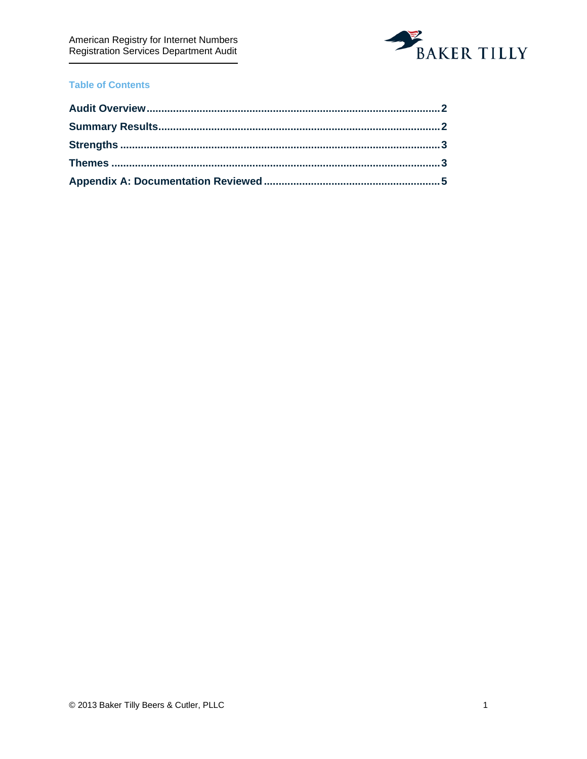

### **Table of Contents**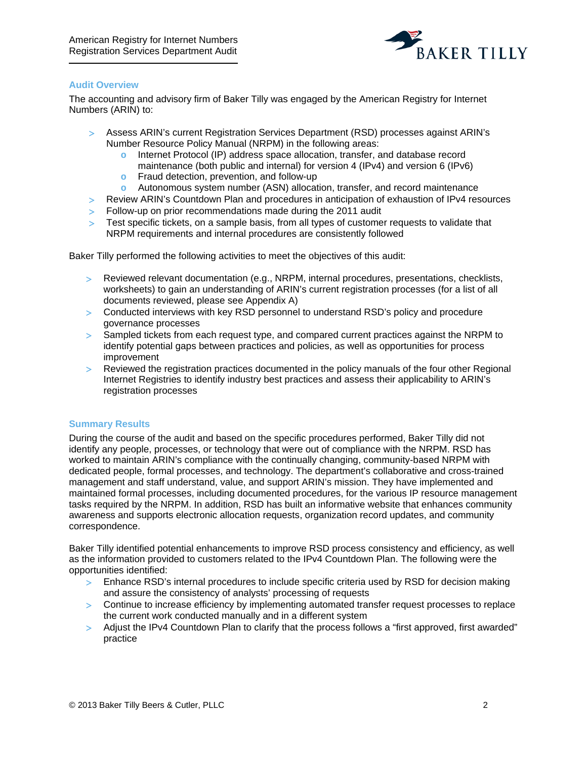

#### <span id="page-2-0"></span>**Audit Overview**

The accounting and advisory firm of Baker Tilly was engaged by the American Registry for Internet Numbers (ARIN) to:

- > Assess ARIN's current Registration Services Department (RSD) processes against ARIN's Number Resource Policy Manual (NRPM) in the following areas:
	- **o** Internet Protocol (IP) address space allocation, transfer, and database record maintenance (both public and internal) for version 4 (IPv4) and version 6 (IPv6)
	- **o** Fraud detection, prevention, and follow-up
	- **o** Autonomous system number (ASN) allocation, transfer, and record maintenance
- > Review ARIN's Countdown Plan and procedures in anticipation of exhaustion of IPv4 resources
- > Follow-up on prior recommendations made during the 2011 audit
- > Test specific tickets, on a sample basis, from all types of customer requests to validate that NRPM requirements and internal procedures are consistently followed

Baker Tilly performed the following activities to meet the objectives of this audit:

- > Reviewed relevant documentation (e.g., NRPM, internal procedures, presentations, checklists, worksheets) to gain an understanding of ARIN's current registration processes (for a list of all documents reviewed, please see Appendix A)
- > Conducted interviews with key RSD personnel to understand RSD's policy and procedure governance processes
- > Sampled tickets from each request type, and compared current practices against the NRPM to identify potential gaps between practices and policies, as well as opportunities for process improvement
- > Reviewed the registration practices documented in the policy manuals of the four other Regional Internet Registries to identify industry best practices and assess their applicability to ARIN's registration processes

#### <span id="page-2-1"></span>**Summary Results**

During the course of the audit and based on the specific procedures performed, Baker Tilly did not identify any people, processes, or technology that were out of compliance with the NRPM. RSD has worked to maintain ARIN's compliance with the continually changing, community-based NRPM with dedicated people, formal processes, and technology. The department's collaborative and cross-trained management and staff understand, value, and support ARIN's mission. They have implemented and maintained formal processes, including documented procedures, for the various IP resource management tasks required by the NRPM. In addition, RSD has built an informative website that enhances community awareness and supports electronic allocation requests, organization record updates, and community correspondence.

Baker Tilly identified potential enhancements to improve RSD process consistency and efficiency, as well as the information provided to customers related to the IPv4 Countdown Plan. The following were the opportunities identified:

- > Enhance RSD's internal procedures to include specific criteria used by RSD for decision making and assure the consistency of analysts' processing of requests
- > Continue to increase efficiency by implementing automated transfer request processes to replace the current work conducted manually and in a different system
- > Adjust the IPv4 Countdown Plan to clarify that the process follows a "first approved, first awarded" practice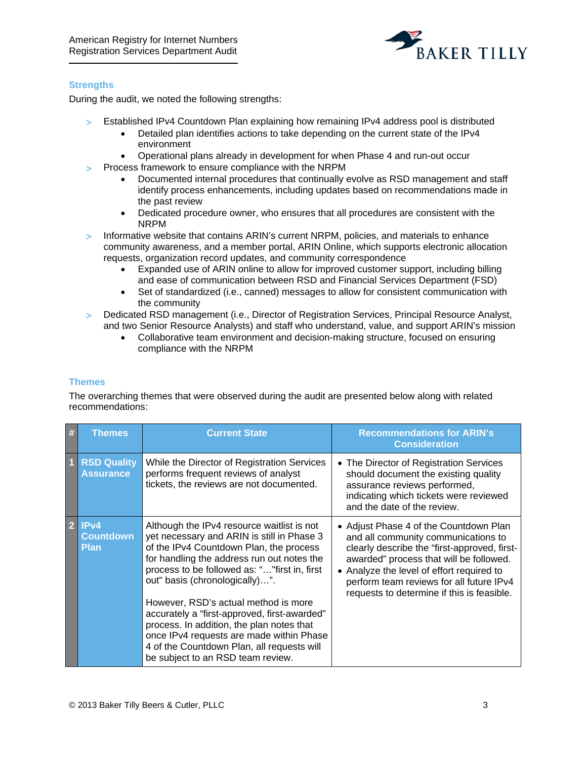

#### <span id="page-3-0"></span>**Strengths**

During the audit, we noted the following strengths:

- > Established IPv4 Countdown Plan explaining how remaining IPv4 address pool is distributed
	- Detailed plan identifies actions to take depending on the current state of the IPv4 environment
	- Operational plans already in development for when Phase 4 and run-out occur
- > Process framework to ensure compliance with the NRPM
	- Documented internal procedures that continually evolve as RSD management and staff identify process enhancements, including updates based on recommendations made in the past review
	- Dedicated procedure owner, who ensures that all procedures are consistent with the NRPM
- > Informative website that contains ARIN's current NRPM, policies, and materials to enhance community awareness, and a member portal, ARIN Online, which supports electronic allocation requests, organization record updates, and community correspondence
	- Expanded use of ARIN online to allow for improved customer support, including billing and ease of communication between RSD and Financial Services Department (FSD)
	- Set of standardized (i.e., canned) messages to allow for consistent communication with the community
- > Dedicated RSD management (i.e., Director of Registration Services, Principal Resource Analyst, and two Senior Resource Analysts) and staff who understand, value, and support ARIN's mission
	- Collaborative team environment and decision-making structure, focused on ensuring compliance with the NRPM

#### <span id="page-3-1"></span>**Themes**

The overarching themes that were observed during the audit are presented below along with related recommendations:

| # | <b>Themes</b>                                       | <b>Current State</b>                                                                                                                                                                                                                                                                                                                                                                                                                                                                                                                     | <b>Recommendations for ARIN's</b><br><b>Consideration</b>                                                                                                                                                                                                                                                       |
|---|-----------------------------------------------------|------------------------------------------------------------------------------------------------------------------------------------------------------------------------------------------------------------------------------------------------------------------------------------------------------------------------------------------------------------------------------------------------------------------------------------------------------------------------------------------------------------------------------------------|-----------------------------------------------------------------------------------------------------------------------------------------------------------------------------------------------------------------------------------------------------------------------------------------------------------------|
|   | <b>RSD Quality</b><br><b>Assurance</b>              | While the Director of Registration Services<br>performs frequent reviews of analyst<br>tickets, the reviews are not documented.                                                                                                                                                                                                                                                                                                                                                                                                          | • The Director of Registration Services<br>should document the existing quality<br>assurance reviews performed,<br>indicating which tickets were reviewed<br>and the date of the review.                                                                                                                        |
| 2 | IP <sub>v4</sub><br><b>Countdown</b><br><b>Plan</b> | Although the IPv4 resource waitlist is not<br>yet necessary and ARIN is still in Phase 3<br>of the IPv4 Countdown Plan, the process<br>for handling the address run out notes the<br>process to be followed as: "" first in, first<br>out" basis (chronologically)".<br>However, RSD's actual method is more<br>accurately a "first-approved, first-awarded"<br>process. In addition, the plan notes that<br>once IPv4 requests are made within Phase<br>4 of the Countdown Plan, all requests will<br>be subject to an RSD team review. | • Adjust Phase 4 of the Countdown Plan<br>and all community communications to<br>clearly describe the "first-approved, first-<br>awarded" process that will be followed.<br>• Analyze the level of effort required to<br>perform team reviews for all future IPv4<br>requests to determine if this is feasible. |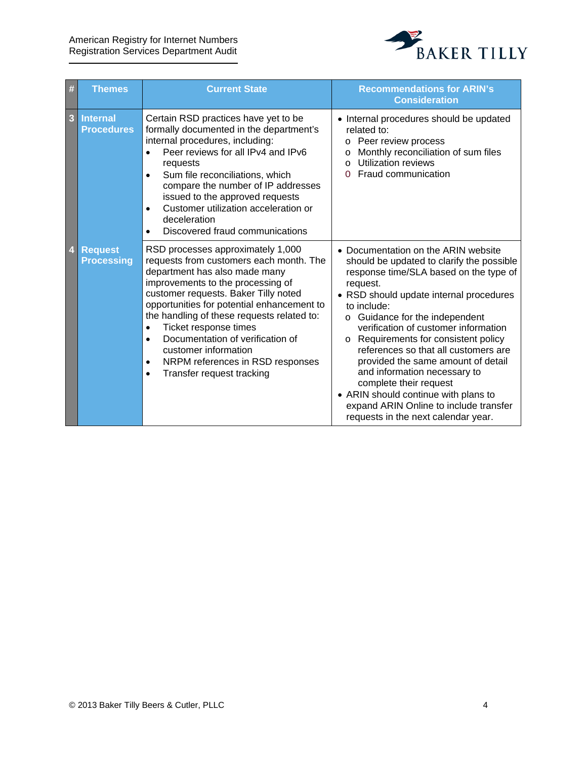

| #              | <b>Themes</b>                        | <b>Current State</b>                                                                                                                                                                                                                                                                                                                                                                                                                                                                             | <b>Recommendations for ARIN's</b><br><b>Consideration</b>                                                                                                                                                                                                                                                                                                                                                                                                                                                                                                                                             |
|----------------|--------------------------------------|--------------------------------------------------------------------------------------------------------------------------------------------------------------------------------------------------------------------------------------------------------------------------------------------------------------------------------------------------------------------------------------------------------------------------------------------------------------------------------------------------|-------------------------------------------------------------------------------------------------------------------------------------------------------------------------------------------------------------------------------------------------------------------------------------------------------------------------------------------------------------------------------------------------------------------------------------------------------------------------------------------------------------------------------------------------------------------------------------------------------|
| 3              | <b>Internal</b><br><b>Procedures</b> | Certain RSD practices have yet to be<br>formally documented in the department's<br>internal procedures, including:<br>Peer reviews for all IPv4 and IPv6<br>$\bullet$<br>requests<br>Sum file reconciliations, which<br>$\bullet$<br>compare the number of IP addresses<br>issued to the approved requests<br>Customer utilization acceleration or<br>$\bullet$<br>deceleration<br>Discovered fraud communications<br>$\bullet$                                                                  | • Internal procedures should be updated<br>related to:<br>Peer review process<br>O<br>Monthly reconciliation of sum files<br>O<br>Utilization reviews<br>$\Omega$<br>Fraud communication<br>$\Omega$                                                                                                                                                                                                                                                                                                                                                                                                  |
| $\overline{4}$ | <b>Request</b><br><b>Processing</b>  | RSD processes approximately 1,000<br>requests from customers each month. The<br>department has also made many<br>improvements to the processing of<br>customer requests. Baker Tilly noted<br>opportunities for potential enhancement to<br>the handling of these requests related to:<br>Ticket response times<br>$\bullet$<br>Documentation of verification of<br>$\bullet$<br>customer information<br>NRPM references in RSD responses<br>$\bullet$<br>Transfer request tracking<br>$\bullet$ | • Documentation on the ARIN website<br>should be updated to clarify the possible<br>response time/SLA based on the type of<br>request.<br>• RSD should update internal procedures<br>to include:<br>Guidance for the independent<br>$\circ$<br>verification of customer information<br>Requirements for consistent policy<br>$\circ$<br>references so that all customers are<br>provided the same amount of detail<br>and information necessary to<br>complete their request<br>• ARIN should continue with plans to<br>expand ARIN Online to include transfer<br>requests in the next calendar year. |